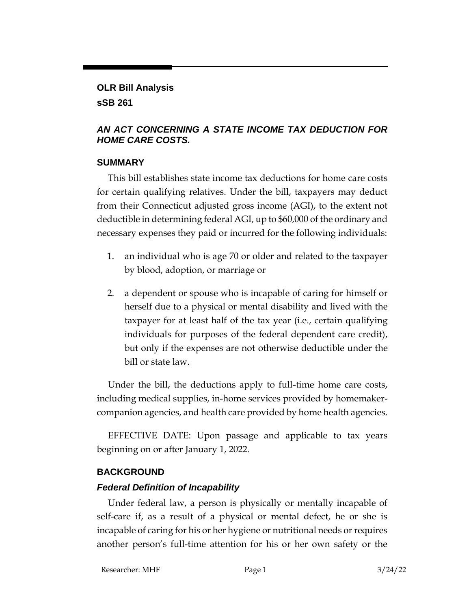#### **OLR Bill Analysis**

#### **sSB 261**

# *AN ACT CONCERNING A STATE INCOME TAX DEDUCTION FOR HOME CARE COSTS.*

### **SUMMARY**

This bill establishes state income tax deductions for home care costs for certain qualifying relatives. Under the bill, taxpayers may deduct from their Connecticut adjusted gross income (AGI), to the extent not deductible in determining federal AGI, up to \$60,000 of the ordinary and necessary expenses they paid or incurred for the following individuals:

- 1. an individual who is age 70 or older and related to the taxpayer by blood, adoption, or marriage or
- 2. a dependent or spouse who is incapable of caring for himself or herself due to a physical or mental disability and lived with the taxpayer for at least half of the tax year (i.e., certain qualifying individuals for purposes of the federal dependent care credit), but only if the expenses are not otherwise deductible under the bill or state law.

Under the bill, the deductions apply to full-time home care costs, including medical supplies, in-home services provided by homemakercompanion agencies, and health care provided by home health agencies.

EFFECTIVE DATE: Upon passage and applicable to tax years beginning on or after January 1, 2022.

# **BACKGROUND**

# *Federal Definition of Incapability*

Under federal law, a person is physically or mentally incapable of self-care if, as a result of a physical or mental defect, he or she is incapable of caring for his or her hygiene or nutritional needs or requires another person's full-time attention for his or her own safety or the